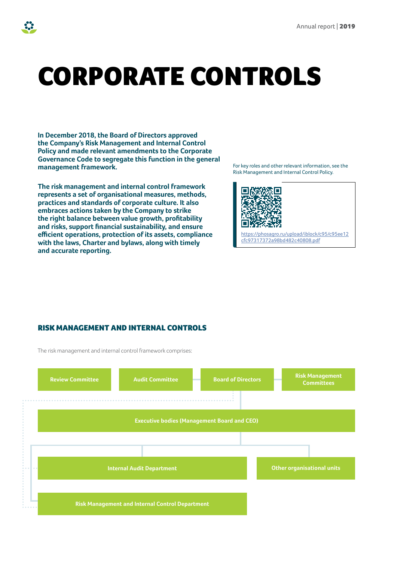# CORPORATE CONTROLS

**In December 2018, the Board of Directors approved the Company's Risk Management and Internal Control Policy and made relevant amendments to the Corporate Governance Code to segregate this function in the general management framework.** 

**The risk management and internal control framework represents a set of organisational measures, methods, practices and standards of corporate culture. It also embraces actions taken by the Company to strike the right balance between value growth, profitability and risks, support financial sustainability, and ensure efficient operations, protection of its assets, compliance with the laws, Charter and bylaws, along with timely and accurate reporting.** 

For key roles and other relevant information, see the Risk Management and Internal Control Policy.



[https://phosagro.ru/upload/iblock/c95/c95ee12](https://phosagro.ru/upload/iblock/c95/c95ee12cfc97317372a98bd482c40808.pdf) cfc97317372a98bd482c40808.pdf

#### RISK MANAGEMENT AND INTERNAL CONTROLS

The risk management and internal control framework comprises:

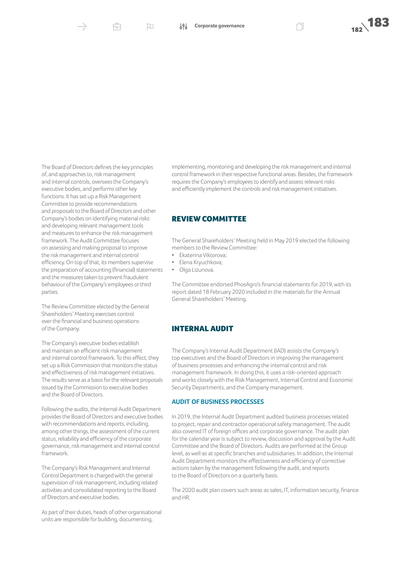Ĥ

口



The Board of Directors defines the key principles of, and approaches to, risk management and internal controls, oversees the Company's executive bodies, and performs other key functions. It has set up a Risk Management Committee to provide recommendations and proposals to the Board of Directors and other Company's bodies on identifying material risks and developing relevant management tools and measures to enhance the risk management framework. The Audit Committee focuses on assessing and making proposal to improve the risk management and internal control efficiency. On top of that, its members supervise the preparation of accounting (financial) statements and the measures taken to prevent fraudulent behaviour of the Company's employees or third parties.

The Review Committee elected by the General Shareholders' Meeting exercises control over the financial and business operations of the Company.

The Company's executive bodies establish and maintain an efficient risk management and internal control framework. To this effect, they set up a Risk Commission that monitors the status and effectiveness of risk management initiatives. The results serve as a basis for the relevant proposals issued by the Commission to executive bodies and the Board of Directors.

Following the audits, the Internal Audit Department provides the Board of Directors and executive bodies with recommendations and reports, including, among other things, the assessment of the current status, reliability and efficiency of the corporate governance, risk management and internal control framework.

The Company's Risk Management and Internal Control Department is charged with the general supervision of risk management, including related activities and consolidated reporting to the Board of Directors and executive bodies.

As part of their duties, heads of other organisational units are responsible for building, documenting,

implementing, monitoring and developing the risk management and internal control framework in their respective functional areas. Besides, the framework requires the Company's employees to identify and assess relevant risks and efficiently implement the controls and risk management initiatives.

#### REVIEW COMMITTEE

The General Shareholders' Meeting held in May 2019 elected the following members to the Review Committee:

- Ekaterina Viktorova;
- Elena Kryuchkova;
- Olga Lizunova.

The Committee endorsed PhosAgro's financial statements for 2019, with its report dated 18 February 2020 included in the materials for the Annual General Shareholders' Meeting.

#### INTERNAL AUDIT

The Company's Internal Audit Department (IAD) assists the Company's top executives and the Board of Directors in improving the management of business processes and enhancing the internal control and risk management framework. In doing this, it uses a risk-oriented approach and works closely with the Risk Management, Internal Control and Economic Security Departments, and the Company management.

#### **AUDIT OF BUSINESS PROCESSES**

In 2019, the Internal Audit Department audited business processes related to project, repair and contractor operational safety management. The audit also covered IT of foreign offices and corporate governance. The audit plan for the calendar year is subject to review, discussion and approval by the Audit Committee and the Board of Directors. Audits are performed at the Group level, as well as at specific branches and subsidiaries. In addition, the Internal Audit Department monitors the effectiveness and efficiency of corrective actions taken by the management following the audit, and reports to the Board of Directors on a quarterly basis.

The 2020 audit plan covers such areas as sales, IT, information security, finance and HR.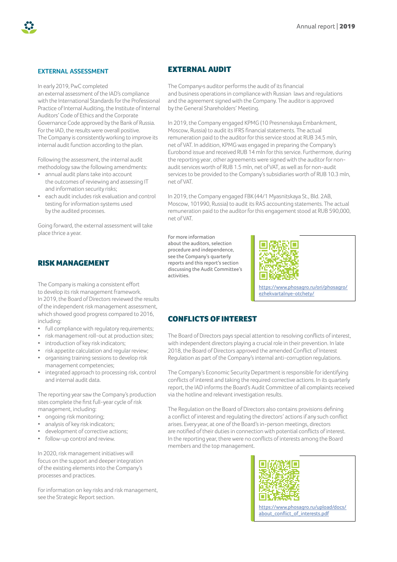

#### **EXTERNAL ASSESSMENT**

In early 2019, PwC completed an external assessment of the IAD's compliance with the International Standards for the Professional Practice of Internal Auditing, the Institute of Internal Auditors' Code of Ethics and the Corporate Governance Code approved by the Bank of Russia. For the IAD, the results were overall positive. The Company is consistently working to improve its internal audit function according to the plan.

Following the assessment, the internal audit methodology saw the following amendments:

- annual audit plans take into account the outcomes of reviewing and assessing IT and information security risks;
- each audit includes risk evaluation and control testing for information systems used by the audited processes.

Going forward, the external assessment will take place thrice a year.

### RISK MANAGEMENT

The Company is making a consistent effort to develop its risk management framework. In 2019, the Board of Directors reviewed the results of the independent risk management assessment, which showed good progress compared to 2016, including:

- full compliance with regulatory requirements;
- risk management roll-out at production sites;
- introduction of key risk indicators;
- risk appetite calculation and regular review;
- organising training sessions to develop risk management competencies;
- integrated approach to processing risk, control and internal audit data.

The reporting year saw the Company's production sites complete the first full-year cycle of risk management, including:

- ongoing risk monitoring;
- analysis of key risk indicators;
- development of corrective actions;
- follow-up control and review.

In 2020, risk management initiatives will focus on the support and deeper integration of the existing elements into the Company's processes and practices.

For information on key risks and risk management, see the Strategic Report section.

## EXTERNAL AUDIT

The Company›s auditor performs the audit of its financial and business operations in compliance with Russian laws and regulations and the agreement signed with the Company. The auditor is approved by the General Shareholders' Meeting.

In 2019, the Company engaged KPMG (10 Presnenskaya Embankment, Moscow, Russia) to audit its IFRS financial statements. The actual remuneration paid to the auditor for this service stood at RUB 34.5 mln, net of VAT. In addition, KPMG was engaged in preparing the Company's Eurobond issue and received RUB 14 mln for this service. Furthermore, during the reporting year, other agreements were signed with the auditor for nonaudit services worth of RUB 1.5 mln, net of VAT, as well as for non-audit services to be provided to the Company's subsidiaries worth of RUB 10.3 mln, net of VAT.

In 2019, the Company engaged FBK (44/1 Myasnitskaya St., Bld. 2AB, Moscow, 101990, Russia) to audit its RAS accounting statements. The actual remuneration paid to the auditor for this engagement stood at RUB 590,000, net of VAT.

For more information about the auditors, selection procedure and independence, see the Company's quarterly reports and this report's section discussing the Audit Committee's activities.



[https://www.phosagro.ru/ori/phosagro/](https://www.phosagro.ru/ori/phosagro/ezhekvartalnye-otchety/) ezhekvartalnye-otchety/

# CONFLICTS OF INTEREST

The Board of Directors pays special attention to resolving conflicts of interest, with independent directors playing a crucial role in their prevention. In late 2018, the Board of Directors approved the amended Conflict of Interest Regulation as part of the Company's internal anti-corruption regulations.

The Company's Economic Security Department is responsible for identifying conflicts of interest and taking the required corrective actions. In its quarterly report, the IAD informs the Board's Audit Committee of all complaints received via the hotline and relevant investigation results.

The Regulation on the Board of Directors also contains provisions defining a conflict of interest and regulating the directors' actions if any such conflict arises. Every year, at one of the Board's in-person meetings, directors are notified of their duties in connection with potential conflicts of interest. In the reporting year, there were no conflicts of interests among the Board members and the top management.



[https://www.phosagro.ru/upload/docs/](https://www.phosagro.ru/upload/docs/about_conflict_of_interests.pdf) about\_conflict\_of\_interests.pdf